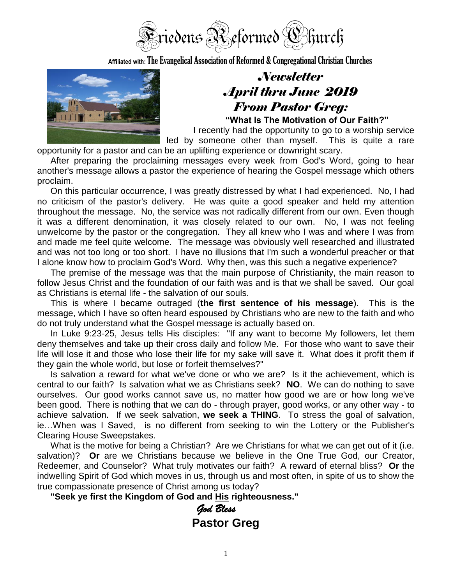

**Affiliated with:**The Evangelical Association of Reformed & Congregational Christian Churches



# *Newsletter April thru June 2019 From Pastor Greg:*

**"What Is The Motivation of Our Faith?"**

I recently had the opportunity to go to a worship service led by someone other than myself. This is quite a rare

opportunity for a pastor and can be an uplifting experience or downright scary.

After preparing the proclaiming messages every week from God's Word, going to hear another's message allows a pastor the experience of hearing the Gospel message which others proclaim.

On this particular occurrence, I was greatly distressed by what I had experienced. No, I had no criticism of the pastor's delivery. He was quite a good speaker and held my attention throughout the message. No, the service was not radically different from our own. Even though it was a different denomination, it was closely related to our own. No, I was not feeling unwelcome by the pastor or the congregation. They all knew who I was and where I was from and made me feel quite welcome. The message was obviously well researched and illustrated and was not too long or too short. I have no illusions that I'm such a wonderful preacher or that I alone know how to proclaim God's Word. Why then, was this such a negative experience?

The premise of the message was that the main purpose of Christianity, the main reason to follow Jesus Christ and the foundation of our faith was and is that we shall be saved. Our goal as Christians is eternal life - the salvation of our souls.

This is where I became outraged (**the first sentence of his message**). This is the message, which I have so often heard espoused by Christians who are new to the faith and who do not truly understand what the Gospel message is actually based on.

In Luke 9:23-25, Jesus tells His disciples: "If any want to become My followers, let them deny themselves and take up their cross daily and follow Me. For those who want to save their life will lose it and those who lose their life for my sake will save it. What does it profit them if they gain the whole world, but lose or forfeit themselves?"

Is salvation a reward for what we've done or who we are? Is it the achievement, which is central to our faith? Is salvation what we as Christians seek? **NO**. We can do nothing to save ourselves. Our good works cannot save us, no matter how good we are or how long we've been good. There is nothing that we can do - through prayer, good works, or any other way - to achieve salvation. If we seek salvation, **we seek a THING**. To stress the goal of salvation, ie…When was I Saved, is no different from seeking to win the Lottery or the Publisher's Clearing House Sweepstakes.

What is the motive for being a Christian? Are we Christians for what we can get out of it (i.e. salvation)? **Or** are we Christians because we believe in the One True God, our Creator, Redeemer, and Counselor? What truly motivates our faith? A reward of eternal bliss? **Or** the indwelling Spirit of God which moves in us, through us and most often, in spite of us to show the true compassionate presence of Christ among us today?

**"Seek ye first the Kingdom of God and His righteousness."**

*God Bless*  **Pastor Greg**